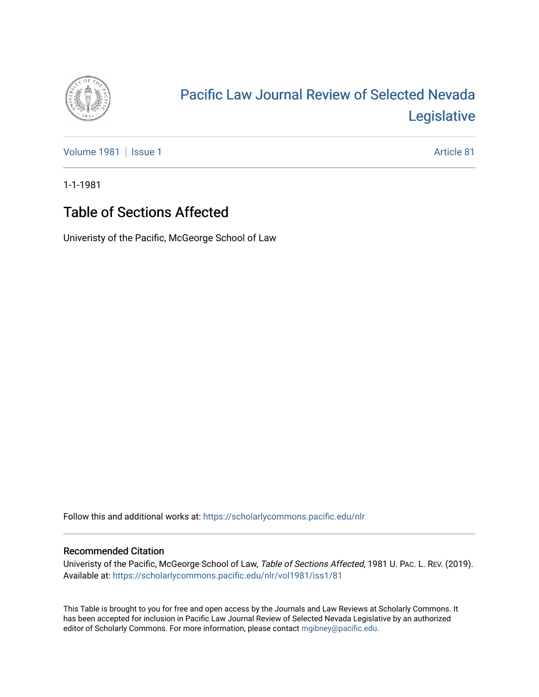

# [Pacific Law Journal Review of Selected Nevada](https://scholarlycommons.pacific.edu/nlr)  [Legislative](https://scholarlycommons.pacific.edu/nlr)

[Volume 1981](https://scholarlycommons.pacific.edu/nlr/vol1981) | [Issue 1](https://scholarlycommons.pacific.edu/nlr/vol1981/iss1) Article 81

1-1-1981

## Table of Sections Affected

Univeristy of the Pacific, McGeorge School of Law

Follow this and additional works at: [https://scholarlycommons.pacific.edu/nlr](https://scholarlycommons.pacific.edu/nlr?utm_source=scholarlycommons.pacific.edu%2Fnlr%2Fvol1981%2Fiss1%2F81&utm_medium=PDF&utm_campaign=PDFCoverPages) 

#### Recommended Citation

Univeristy of the Pacific, McGeorge School of Law, Table of Sections Affected, 1981 U. PAC. L. REV. (2019). Available at: [https://scholarlycommons.pacific.edu/nlr/vol1981/iss1/81](https://scholarlycommons.pacific.edu/nlr/vol1981/iss1/81?utm_source=scholarlycommons.pacific.edu%2Fnlr%2Fvol1981%2Fiss1%2F81&utm_medium=PDF&utm_campaign=PDFCoverPages)

This Table is brought to you for free and open access by the Journals and Law Reviews at Scholarly Commons. It has been accepted for inclusion in Pacific Law Journal Review of Selected Nevada Legislative by an authorized editor of Scholarly Commons. For more information, please contact [mgibney@pacific.edu](mailto:mgibney@pacific.edu).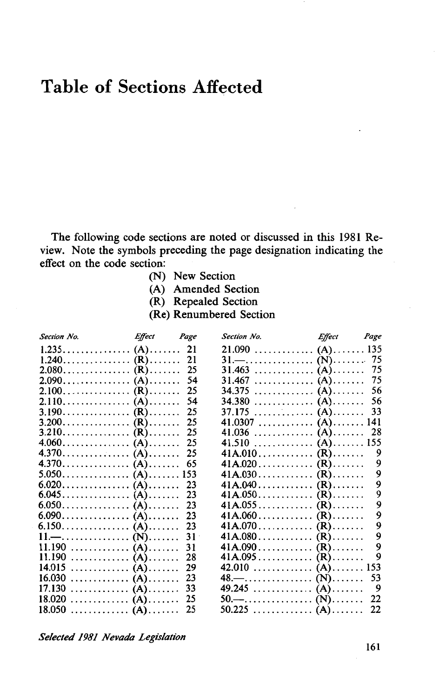## **Table of Sections Affected**

The following code sections are noted or discussed in this 1981 Review. Note the symbols preceding the page designation indicating the effect on the code section:

- (N) New Section
- (A) Amended Section
- (R) Repealed Section
- (Re) Renumbered Section

| Effect Page<br><b>Section No.</b> |     | Effect Page<br>Section No.                              |     |
|-----------------------------------|-----|---------------------------------------------------------|-----|
|                                   | 21  |                                                         |     |
|                                   | 21  | $31. - \dots \dots \dots \dots \dots \dots \dots \dots$ | 75  |
|                                   | 25  | $31.463 \ldots \ldots \ldots \ldots (A) \ldots \ldots$  | 75  |
|                                   | 54  | $31.467 \ldots \ldots \ldots \ldots$ (A)                | 75  |
|                                   | 25  | 34.375<br>. (A).                                        | 56  |
|                                   | 54  | 34.380  (A)                                             | 56  |
| 3.190. (R)                        | 25  |                                                         | 33  |
|                                   | 25  | 41.0307  (A) 141                                        |     |
|                                   | 25  |                                                         | 28  |
|                                   | 25  | 41.510  (A)                                             | 155 |
|                                   | 25  |                                                         | 9   |
|                                   | 65  |                                                         | 9   |
|                                   | 153 |                                                         | 9   |
|                                   | 23  |                                                         | 9   |
|                                   | 23  |                                                         | 9   |
|                                   | 23  |                                                         | 9   |
|                                   | 23  |                                                         | 9   |
|                                   | 23  |                                                         | 9   |
| 11.— (N)                          | 31  |                                                         | 9   |
| 11.190  (A)                       | 31  |                                                         | 9   |
| 11.190 (A)                        | 28  |                                                         | 9   |
| 14.015 (A)                        | 29  | 42.010 (A)                                              | 153 |
|                                   | 23  |                                                         | 53  |
| 17.130<br>. (A).                  | 33  | 49.245 (A)                                              | 9   |
|                                   | 25  | 50.— (N)                                                | 22  |
| $18.050$ (A)                      | 25  | 50.225 (A)                                              | 22  |
|                                   |     |                                                         |     |

*Selected 1981 Nevada Legislation*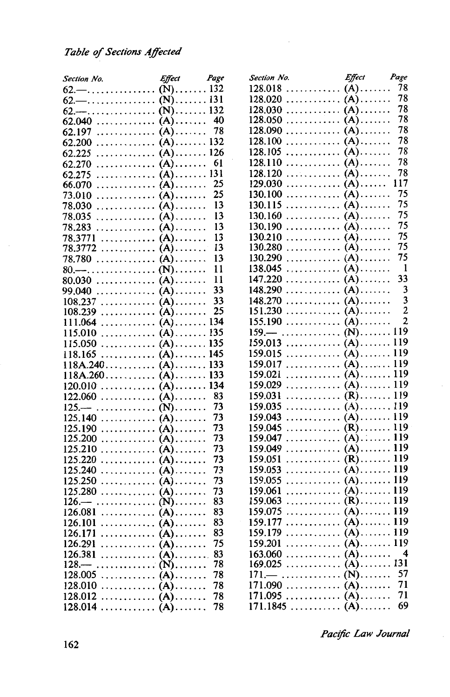| Section No.                                             | Effect Page | Section No. | Effect                                                  | Page                         |
|---------------------------------------------------------|-------------|-------------|---------------------------------------------------------|------------------------------|
|                                                         |             |             | $128.018$ (A)                                           | 78                           |
|                                                         |             |             | $128.020$ (A)                                           | 78                           |
|                                                         |             |             |                                                         | 78                           |
|                                                         | 40          |             |                                                         | 78                           |
|                                                         | 78          |             | $128.090$ (A)                                           | 78                           |
|                                                         |             |             | $128.100 \ldots \ldots \ldots \ldots (A) \ldots \ldots$ | 78                           |
|                                                         |             |             | $128.105$ (A)                                           | 78                           |
|                                                         | 61          |             | $128.110 \ldots \ldots \ldots (A) \ldots \ldots$        | 78                           |
|                                                         |             |             |                                                         | 78                           |
|                                                         | 25          |             | 129.030  (A)                                            | 117                          |
|                                                         | 25          |             | $130.100$ (A)                                           | 75                           |
| $78.030$ (A)                                            | 13          |             | $130.115$ (A)                                           | 75                           |
|                                                         | 13          |             | $130.160$ (A)                                           | 75                           |
|                                                         | 13          |             | $130.190 \ldots \ldots \ldots (A) \ldots \ldots$        | 75                           |
| $78.283$ (A)                                            | 13          |             |                                                         | 75                           |
| $78.3771$ (A)                                           | 13          |             | $130.280 \ldots \ldots \ldots (A) \ldots \ldots$        | 75                           |
| 78.3772  (A)                                            |             |             |                                                         | 75                           |
| 78.780  (A)                                             | 13          |             | $130.290 \ldots \ldots \ldots (A) \ldots \ldots$        | -1                           |
| 80.— (N)                                                | 11          |             | $138.045$ (A)                                           |                              |
|                                                         | 11          |             | $147.220 \ldots \ldots \ldots \ldots (A) \ldots \ldots$ | 33                           |
| 99.040  (A)                                             | 33          |             |                                                         | 3<br>$\overline{\mathbf{3}}$ |
|                                                         | 33          |             | $148.270 \ldots \ldots \ldots (A) \ldots \ldots$        | $\overline{c}$               |
| $108.239$ (A)                                           | 25          |             | $151.230 \ldots \ldots \ldots \ldots$ (A)               |                              |
|                                                         |             |             |                                                         | $\overline{2}$               |
|                                                         |             |             |                                                         |                              |
|                                                         |             |             |                                                         |                              |
| $118.165$ (A) 145                                       |             |             |                                                         |                              |
|                                                         |             |             | $159.017$ (A) 119                                       |                              |
|                                                         |             |             |                                                         |                              |
|                                                         |             |             | $159.029$ (A) 119                                       |                              |
|                                                         | 83          |             | $159.031$ (R) 119                                       |                              |
| $125 - \ldots \ldots \ldots \ldots$ (N)                 | 73          |             | $159.035$ (A) 119                                       |                              |
|                                                         | 73          |             |                                                         |                              |
| $125.190$ (A)                                           | 73          |             | $159.045$ (R) 119                                       |                              |
|                                                         | 73          |             | $159.047$ (A) 119                                       |                              |
|                                                         | 73          |             | $159.049$ (A) 119                                       |                              |
| $125.220$ (A)                                           | 73          |             | $159.051$ (R) 119                                       |                              |
|                                                         | 73          |             | $159.053$ (A) 119                                       |                              |
|                                                         | 73          |             |                                                         |                              |
|                                                         | 73          |             |                                                         |                              |
| $126 - \ldots \ldots \ldots \ldots$ (N)                 | 83          |             |                                                         |                              |
| $126.081$ (A)                                           | 83          |             |                                                         |                              |
|                                                         | 83          |             |                                                         |                              |
|                                                         | 83          |             | $159.179$ (A) 119                                       |                              |
|                                                         | 75          |             | $159.201$ (A) 119                                       |                              |
| $126.381$ (A)                                           | 83          |             | $163.060$ (A)                                           | 4                            |
| $128 - \ldots \ldots \ldots \ldots$ (N)                 | 78          |             | $169.025$ (A) 131                                       |                              |
| $128.005 \ldots \ldots \ldots \ldots (A) \ldots \ldots$ | 78          |             |                                                         | 57                           |
|                                                         | 78          |             | $171.090 \ldots \ldots \ldots \ldots (A) \ldots \ldots$ | 71                           |
|                                                         | 78          |             | $171.095$ (A)                                           | 71                           |
| $128.012$ (A)                                           | 78          |             |                                                         | 69                           |
|                                                         |             |             |                                                         |                              |

ł,

*Pacific Law Journal*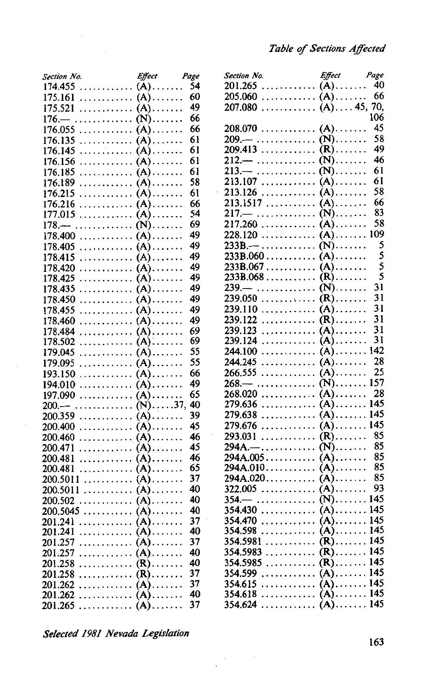| Section No.         | Effect                                 | Page |
|---------------------|----------------------------------------|------|
| 174.455             | $(A)$                                  | 54   |
| 175.161             | (A).                                   | 60   |
| 175.521             | (A).                                   | 49   |
| 176.-               | $(N)$ .                                | 66   |
| 176.055             | $(A)$ .                                | 66   |
| 176.135             | $(A)$ .                                | 61   |
| .<br>176.145        | $(A)$ .                                | 61   |
| 176.156<br>.        | (A).                                   | 61   |
| 176.185             | (A).                                   | 61   |
| 176.189             | (A).<br>1.1.1.1                        | 58   |
|                     | $(A)$                                  | 61   |
| 176.215<br>.        |                                        | 66   |
| 176.216<br>.        | $(A)$<br>$(A)$                         | 54   |
| 177.015             |                                        | 69   |
| $178 -$             | $(N)$ .                                | 49   |
| 178.400<br>.        | (A).                                   | 49   |
| 178.405<br>.        | (A).                                   | 49   |
| 178.415<br>.        | $(A)$ .                                |      |
| 178.420             | (A).                                   | 49   |
| 178.425<br>.        | (A).<br>1.1.1.1                        | 49   |
| 178.435<br>.        | (A)<br>.                               | 49   |
| 178.450             | $(A)$ .                                | 49   |
| 178.455<br>.        | $(A)$                                  | 49   |
| 178.460<br>.        | $(A)$                                  | 49   |
| 178.484<br>.        | (A)<br>$\ddot{\phantom{0}}$<br>1.1.1.1 | 69   |
| 178.502<br>.        | $(A)$                                  | 69   |
| 179.045<br>.        | $(A)$                                  | 55   |
| 179.095<br>.        | $(A)$                                  | 55   |
| 193.150<br>.        | (A).<br>.                              | 66   |
| 194.010<br>.        | $(A)$                                  | 49   |
| 197.090             | $(A)$                                  | 65   |
| $200 -$             | $(N)$ 37,                              | 40   |
| 200.359<br>.        | $(A)$                                  | 39   |
| <b>200.400</b><br>. | $(A) \ldots \ldots$                    | 45   |
| .<br>200.460        | $(A)$                                  | 46   |
| 200.471<br>.        | $(A)$                                  | 45   |
| 200.481<br>.        | $(A)$                                  | 46   |
| 200.481<br>.        | $(A)$                                  | 65   |
| .<br>200.5011       | $(A)$                                  | 37   |
| 200.5011<br>.       | $(A)$                                  | 40   |
| 200.502<br>.        | $(A)$                                  | 40   |
| 200.5045            | (A).                                   | 40   |
| 201.241             | $(A)$ .                                | 37   |
| 201.241<br>.        | $(A)$                                  | 40   |
| 201.257<br>.        | $(A)$                                  | 37   |
| 201.257<br>.        | $(A)$                                  | 40   |
| 201.258<br>.        | $(R)$                                  | 40   |
| 201.258             | $(R)$                                  | 37   |
| 201.262<br>.        | $(A)$                                  | 37   |
| 201.262             | $(A)$                                  | 40   |
| 201.265<br>.        | $(A)$                                  | 37   |

| .<br>$(A)$ 40<br>$(A)$<br>.<br>205.060<br>$(A)$ 45, 70,<br>.<br>207.080<br>106<br>45<br>208.070<br>$(A)$<br>58<br>$(N)$<br>$209 - \ldots$<br>49<br>$(R)$<br>209.413<br>.<br>46<br>$212 - \ldots$<br>$(N)$<br>61<br>$213 -$<br>.<br>$(N)$<br>213.107<br>$(A)$<br>$(A)$<br>213.126<br>213.1517<br>$(A)$<br>$(N)$<br>$217-$<br>.<br>58<br>217.260<br>.<br>$(A)$<br>109<br>$(A)$<br>228.120<br>5<br>$(N)$<br>$233B - \ldots$<br>5<br>233B.060<br>$(A)$<br>5<br>233B.067<br>$(A)$<br>5<br>$(R)$<br>233B.068<br>31<br>$(N)$<br>$239. -$<br>.<br>31<br>.<br>239.050<br>$(R)$<br>239.110<br>.<br>$(A)$<br>$(R)$<br>239.122<br>.<br>$(A)$<br>239.123<br>.<br>$(A)$ .<br>239.124<br>.<br>142<br>$(A)$<br>244.100<br>.<br>28<br>$(A)$<br>244.245<br>.<br>25<br>266.555<br>$(A)$<br>.<br>157<br>$(N)$<br>$268 -$<br>.<br>28<br>268.020<br>.<br>$(A)$<br>145<br>$(A)$<br>279.636<br>.<br>145<br>$(A)$<br>279.638<br>.<br>145<br>$(A)$<br>279.676<br>.<br>85<br>.<br>$(R)$<br>293.031<br>85<br>$(N)$<br>$294A - \ldots$<br>$\begin{array}{c} 85 \\ 85 \end{array}$<br>294A.005<br>$(A)$<br>294A.010<br>$(A)$<br>294A.020<br>$(A)$<br>322.005<br>$(A)$<br>.<br>$(N)$ 145<br>$354-$<br>.<br>$(A)$ 145<br>354.430<br>$(A)$ 145<br>$354.470$<br>$\lambda)$<br>145<br>354.598<br>.<br>145<br>$(R)$<br>354.5981<br>.<br>145<br>354.5983<br>$(R)$<br>.<br>145<br>354.5985<br>.<br>$(R)$<br>145<br>354.599<br>$(A)$<br>.<br>$(A)$<br>354.615<br>.<br>145<br>$(A)$<br>354.618<br>. | Section No.  | <b>Effect</b> | Page |
|-------------------------------------------------------------------------------------------------------------------------------------------------------------------------------------------------------------------------------------------------------------------------------------------------------------------------------------------------------------------------------------------------------------------------------------------------------------------------------------------------------------------------------------------------------------------------------------------------------------------------------------------------------------------------------------------------------------------------------------------------------------------------------------------------------------------------------------------------------------------------------------------------------------------------------------------------------------------------------------------------------------------------------------------------------------------------------------------------------------------------------------------------------------------------------------------------------------------------------------------------------------------------------------------------------------------------------------------------------------------------------------------------------------------------------------------------------------|--------------|---------------|------|
|                                                                                                                                                                                                                                                                                                                                                                                                                                                                                                                                                                                                                                                                                                                                                                                                                                                                                                                                                                                                                                                                                                                                                                                                                                                                                                                                                                                                                                                             | 201.265      |               |      |
|                                                                                                                                                                                                                                                                                                                                                                                                                                                                                                                                                                                                                                                                                                                                                                                                                                                                                                                                                                                                                                                                                                                                                                                                                                                                                                                                                                                                                                                             |              |               | 66   |
|                                                                                                                                                                                                                                                                                                                                                                                                                                                                                                                                                                                                                                                                                                                                                                                                                                                                                                                                                                                                                                                                                                                                                                                                                                                                                                                                                                                                                                                             |              |               |      |
|                                                                                                                                                                                                                                                                                                                                                                                                                                                                                                                                                                                                                                                                                                                                                                                                                                                                                                                                                                                                                                                                                                                                                                                                                                                                                                                                                                                                                                                             |              |               |      |
|                                                                                                                                                                                                                                                                                                                                                                                                                                                                                                                                                                                                                                                                                                                                                                                                                                                                                                                                                                                                                                                                                                                                                                                                                                                                                                                                                                                                                                                             |              |               |      |
|                                                                                                                                                                                                                                                                                                                                                                                                                                                                                                                                                                                                                                                                                                                                                                                                                                                                                                                                                                                                                                                                                                                                                                                                                                                                                                                                                                                                                                                             |              |               |      |
|                                                                                                                                                                                                                                                                                                                                                                                                                                                                                                                                                                                                                                                                                                                                                                                                                                                                                                                                                                                                                                                                                                                                                                                                                                                                                                                                                                                                                                                             |              |               |      |
|                                                                                                                                                                                                                                                                                                                                                                                                                                                                                                                                                                                                                                                                                                                                                                                                                                                                                                                                                                                                                                                                                                                                                                                                                                                                                                                                                                                                                                                             |              |               |      |
|                                                                                                                                                                                                                                                                                                                                                                                                                                                                                                                                                                                                                                                                                                                                                                                                                                                                                                                                                                                                                                                                                                                                                                                                                                                                                                                                                                                                                                                             |              |               |      |
|                                                                                                                                                                                                                                                                                                                                                                                                                                                                                                                                                                                                                                                                                                                                                                                                                                                                                                                                                                                                                                                                                                                                                                                                                                                                                                                                                                                                                                                             |              |               |      |
|                                                                                                                                                                                                                                                                                                                                                                                                                                                                                                                                                                                                                                                                                                                                                                                                                                                                                                                                                                                                                                                                                                                                                                                                                                                                                                                                                                                                                                                             |              |               | 61   |
|                                                                                                                                                                                                                                                                                                                                                                                                                                                                                                                                                                                                                                                                                                                                                                                                                                                                                                                                                                                                                                                                                                                                                                                                                                                                                                                                                                                                                                                             |              |               | 58   |
|                                                                                                                                                                                                                                                                                                                                                                                                                                                                                                                                                                                                                                                                                                                                                                                                                                                                                                                                                                                                                                                                                                                                                                                                                                                                                                                                                                                                                                                             |              |               | 66   |
|                                                                                                                                                                                                                                                                                                                                                                                                                                                                                                                                                                                                                                                                                                                                                                                                                                                                                                                                                                                                                                                                                                                                                                                                                                                                                                                                                                                                                                                             |              |               | 83   |
|                                                                                                                                                                                                                                                                                                                                                                                                                                                                                                                                                                                                                                                                                                                                                                                                                                                                                                                                                                                                                                                                                                                                                                                                                                                                                                                                                                                                                                                             |              |               |      |
|                                                                                                                                                                                                                                                                                                                                                                                                                                                                                                                                                                                                                                                                                                                                                                                                                                                                                                                                                                                                                                                                                                                                                                                                                                                                                                                                                                                                                                                             |              |               |      |
|                                                                                                                                                                                                                                                                                                                                                                                                                                                                                                                                                                                                                                                                                                                                                                                                                                                                                                                                                                                                                                                                                                                                                                                                                                                                                                                                                                                                                                                             |              |               |      |
|                                                                                                                                                                                                                                                                                                                                                                                                                                                                                                                                                                                                                                                                                                                                                                                                                                                                                                                                                                                                                                                                                                                                                                                                                                                                                                                                                                                                                                                             |              |               |      |
|                                                                                                                                                                                                                                                                                                                                                                                                                                                                                                                                                                                                                                                                                                                                                                                                                                                                                                                                                                                                                                                                                                                                                                                                                                                                                                                                                                                                                                                             |              |               |      |
|                                                                                                                                                                                                                                                                                                                                                                                                                                                                                                                                                                                                                                                                                                                                                                                                                                                                                                                                                                                                                                                                                                                                                                                                                                                                                                                                                                                                                                                             |              |               |      |
|                                                                                                                                                                                                                                                                                                                                                                                                                                                                                                                                                                                                                                                                                                                                                                                                                                                                                                                                                                                                                                                                                                                                                                                                                                                                                                                                                                                                                                                             |              |               |      |
|                                                                                                                                                                                                                                                                                                                                                                                                                                                                                                                                                                                                                                                                                                                                                                                                                                                                                                                                                                                                                                                                                                                                                                                                                                                                                                                                                                                                                                                             |              |               |      |
|                                                                                                                                                                                                                                                                                                                                                                                                                                                                                                                                                                                                                                                                                                                                                                                                                                                                                                                                                                                                                                                                                                                                                                                                                                                                                                                                                                                                                                                             |              |               |      |
|                                                                                                                                                                                                                                                                                                                                                                                                                                                                                                                                                                                                                                                                                                                                                                                                                                                                                                                                                                                                                                                                                                                                                                                                                                                                                                                                                                                                                                                             |              |               | 31   |
|                                                                                                                                                                                                                                                                                                                                                                                                                                                                                                                                                                                                                                                                                                                                                                                                                                                                                                                                                                                                                                                                                                                                                                                                                                                                                                                                                                                                                                                             |              |               | 31   |
|                                                                                                                                                                                                                                                                                                                                                                                                                                                                                                                                                                                                                                                                                                                                                                                                                                                                                                                                                                                                                                                                                                                                                                                                                                                                                                                                                                                                                                                             |              |               | 31   |
|                                                                                                                                                                                                                                                                                                                                                                                                                                                                                                                                                                                                                                                                                                                                                                                                                                                                                                                                                                                                                                                                                                                                                                                                                                                                                                                                                                                                                                                             |              |               | 31   |
|                                                                                                                                                                                                                                                                                                                                                                                                                                                                                                                                                                                                                                                                                                                                                                                                                                                                                                                                                                                                                                                                                                                                                                                                                                                                                                                                                                                                                                                             |              |               |      |
|                                                                                                                                                                                                                                                                                                                                                                                                                                                                                                                                                                                                                                                                                                                                                                                                                                                                                                                                                                                                                                                                                                                                                                                                                                                                                                                                                                                                                                                             |              |               |      |
|                                                                                                                                                                                                                                                                                                                                                                                                                                                                                                                                                                                                                                                                                                                                                                                                                                                                                                                                                                                                                                                                                                                                                                                                                                                                                                                                                                                                                                                             |              |               |      |
|                                                                                                                                                                                                                                                                                                                                                                                                                                                                                                                                                                                                                                                                                                                                                                                                                                                                                                                                                                                                                                                                                                                                                                                                                                                                                                                                                                                                                                                             |              |               |      |
|                                                                                                                                                                                                                                                                                                                                                                                                                                                                                                                                                                                                                                                                                                                                                                                                                                                                                                                                                                                                                                                                                                                                                                                                                                                                                                                                                                                                                                                             |              |               |      |
|                                                                                                                                                                                                                                                                                                                                                                                                                                                                                                                                                                                                                                                                                                                                                                                                                                                                                                                                                                                                                                                                                                                                                                                                                                                                                                                                                                                                                                                             |              |               |      |
|                                                                                                                                                                                                                                                                                                                                                                                                                                                                                                                                                                                                                                                                                                                                                                                                                                                                                                                                                                                                                                                                                                                                                                                                                                                                                                                                                                                                                                                             |              |               |      |
|                                                                                                                                                                                                                                                                                                                                                                                                                                                                                                                                                                                                                                                                                                                                                                                                                                                                                                                                                                                                                                                                                                                                                                                                                                                                                                                                                                                                                                                             |              |               |      |
|                                                                                                                                                                                                                                                                                                                                                                                                                                                                                                                                                                                                                                                                                                                                                                                                                                                                                                                                                                                                                                                                                                                                                                                                                                                                                                                                                                                                                                                             |              |               |      |
|                                                                                                                                                                                                                                                                                                                                                                                                                                                                                                                                                                                                                                                                                                                                                                                                                                                                                                                                                                                                                                                                                                                                                                                                                                                                                                                                                                                                                                                             |              |               |      |
|                                                                                                                                                                                                                                                                                                                                                                                                                                                                                                                                                                                                                                                                                                                                                                                                                                                                                                                                                                                                                                                                                                                                                                                                                                                                                                                                                                                                                                                             |              |               |      |
|                                                                                                                                                                                                                                                                                                                                                                                                                                                                                                                                                                                                                                                                                                                                                                                                                                                                                                                                                                                                                                                                                                                                                                                                                                                                                                                                                                                                                                                             |              |               |      |
|                                                                                                                                                                                                                                                                                                                                                                                                                                                                                                                                                                                                                                                                                                                                                                                                                                                                                                                                                                                                                                                                                                                                                                                                                                                                                                                                                                                                                                                             |              |               |      |
|                                                                                                                                                                                                                                                                                                                                                                                                                                                                                                                                                                                                                                                                                                                                                                                                                                                                                                                                                                                                                                                                                                                                                                                                                                                                                                                                                                                                                                                             |              |               | 85   |
|                                                                                                                                                                                                                                                                                                                                                                                                                                                                                                                                                                                                                                                                                                                                                                                                                                                                                                                                                                                                                                                                                                                                                                                                                                                                                                                                                                                                                                                             |              |               | 93   |
|                                                                                                                                                                                                                                                                                                                                                                                                                                                                                                                                                                                                                                                                                                                                                                                                                                                                                                                                                                                                                                                                                                                                                                                                                                                                                                                                                                                                                                                             |              |               |      |
|                                                                                                                                                                                                                                                                                                                                                                                                                                                                                                                                                                                                                                                                                                                                                                                                                                                                                                                                                                                                                                                                                                                                                                                                                                                                                                                                                                                                                                                             |              |               |      |
|                                                                                                                                                                                                                                                                                                                                                                                                                                                                                                                                                                                                                                                                                                                                                                                                                                                                                                                                                                                                                                                                                                                                                                                                                                                                                                                                                                                                                                                             |              |               |      |
|                                                                                                                                                                                                                                                                                                                                                                                                                                                                                                                                                                                                                                                                                                                                                                                                                                                                                                                                                                                                                                                                                                                                                                                                                                                                                                                                                                                                                                                             |              |               |      |
|                                                                                                                                                                                                                                                                                                                                                                                                                                                                                                                                                                                                                                                                                                                                                                                                                                                                                                                                                                                                                                                                                                                                                                                                                                                                                                                                                                                                                                                             |              |               |      |
|                                                                                                                                                                                                                                                                                                                                                                                                                                                                                                                                                                                                                                                                                                                                                                                                                                                                                                                                                                                                                                                                                                                                                                                                                                                                                                                                                                                                                                                             |              |               |      |
|                                                                                                                                                                                                                                                                                                                                                                                                                                                                                                                                                                                                                                                                                                                                                                                                                                                                                                                                                                                                                                                                                                                                                                                                                                                                                                                                                                                                                                                             |              |               |      |
|                                                                                                                                                                                                                                                                                                                                                                                                                                                                                                                                                                                                                                                                                                                                                                                                                                                                                                                                                                                                                                                                                                                                                                                                                                                                                                                                                                                                                                                             |              |               |      |
|                                                                                                                                                                                                                                                                                                                                                                                                                                                                                                                                                                                                                                                                                                                                                                                                                                                                                                                                                                                                                                                                                                                                                                                                                                                                                                                                                                                                                                                             |              |               |      |
|                                                                                                                                                                                                                                                                                                                                                                                                                                                                                                                                                                                                                                                                                                                                                                                                                                                                                                                                                                                                                                                                                                                                                                                                                                                                                                                                                                                                                                                             |              |               | 145  |
|                                                                                                                                                                                                                                                                                                                                                                                                                                                                                                                                                                                                                                                                                                                                                                                                                                                                                                                                                                                                                                                                                                                                                                                                                                                                                                                                                                                                                                                             |              |               |      |
| $(A)$ 145                                                                                                                                                                                                                                                                                                                                                                                                                                                                                                                                                                                                                                                                                                                                                                                                                                                                                                                                                                                                                                                                                                                                                                                                                                                                                                                                                                                                                                                   | 354.624<br>. |               |      |

*Selected 1981 Nevada Legislation*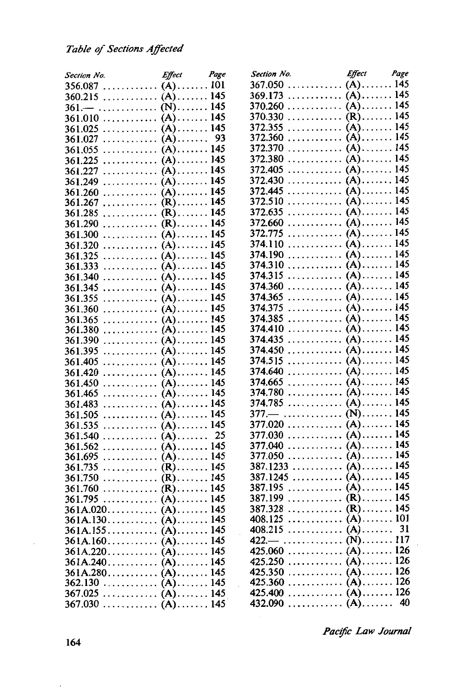#### *Table* of *Sections Affected*

| Section No.                                                   | Effect Page |    | Effect Page<br>Section No.  |  |
|---------------------------------------------------------------|-------------|----|-----------------------------|--|
| $356.087$ (A) 101                                             |             |    |                             |  |
| $360.215$ (A) 145                                             |             |    | $369.173$ (A) 145           |  |
| $361 - \ldots \ldots \ldots \ldots$ (N) 145                   |             |    |                             |  |
|                                                               |             |    |                             |  |
| $361.025$ (A) 145                                             |             |    |                             |  |
| $361.027 \ldots \ldots \ldots \ldots$ (A)                     |             | 93 |                             |  |
|                                                               |             |    |                             |  |
|                                                               |             |    |                             |  |
| $361.227 \ldots \ldots \ldots \ldots$ (A) $\ldots \ldots 145$ |             |    |                             |  |
| $361.249$ (A) 145                                             |             |    |                             |  |
|                                                               |             |    | $372.445$ (A) 145           |  |
|                                                               |             |    |                             |  |
| $361.285$ (R) 145                                             |             |    |                             |  |
|                                                               |             |    |                             |  |
|                                                               |             |    | $372.775$ (A) 145           |  |
|                                                               |             |    |                             |  |
|                                                               |             |    |                             |  |
|                                                               |             |    |                             |  |
|                                                               |             |    |                             |  |
|                                                               |             |    |                             |  |
|                                                               |             |    |                             |  |
|                                                               |             |    |                             |  |
|                                                               |             |    |                             |  |
|                                                               |             |    | $374.410$ (A) 145           |  |
| $361.390$ (A) 145                                             |             |    |                             |  |
|                                                               |             |    |                             |  |
|                                                               |             |    |                             |  |
|                                                               |             |    |                             |  |
|                                                               |             |    |                             |  |
|                                                               |             |    |                             |  |
|                                                               |             |    |                             |  |
|                                                               |             |    |                             |  |
|                                                               |             |    |                             |  |
|                                                               |             | 25 |                             |  |
| $361.540$ (A)                                                 |             |    |                             |  |
|                                                               |             |    |                             |  |
|                                                               |             |    | $387.1233$ (A) 145          |  |
|                                                               |             |    |                             |  |
|                                                               |             |    |                             |  |
|                                                               |             |    | 387.199  (R) 145            |  |
| $361A.020$ (A)145                                             |             |    | $387.328$ (R) 145           |  |
|                                                               |             |    | 408.125 $\lambda$ $(A)$ 101 |  |
|                                                               |             |    |                             |  |
| $361A.155$ (A)145                                             |             |    |                             |  |
|                                                               |             |    | 425.060 (A) 126             |  |
| $361A.220$ (A)145                                             |             |    | 425.250 (A) 126             |  |
|                                                               |             |    |                             |  |
| $361A.280$ (A) 145                                            |             |    |                             |  |
|                                                               |             |    |                             |  |
|                                                               |             |    |                             |  |
|                                                               |             |    |                             |  |

*Pac!fic Law Journal*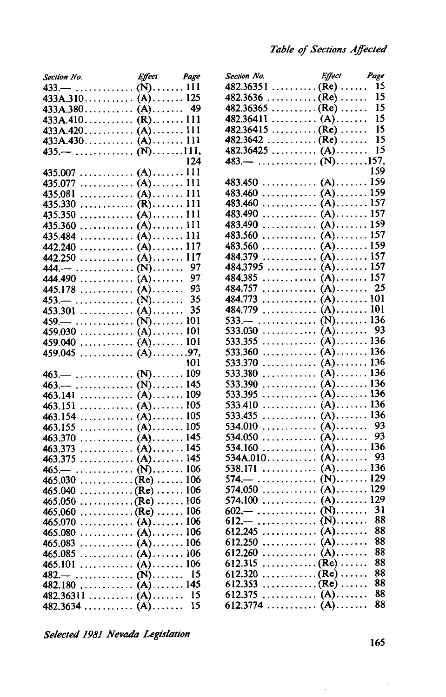| Section No. Effect Page<br>433.—  (N) 111                                              |     | Section No. Effect Page<br>482.36351 (Re)  15 |     |
|----------------------------------------------------------------------------------------|-----|-----------------------------------------------|-----|
|                                                                                        |     | $482.3636$ (Re)                               | 15  |
|                                                                                        |     |                                               |     |
| $433A.380$ $(A)$                                                                       | 49  | $482.36365$ (Re)                              | 15  |
| $433A.410$ (R) 111                                                                     |     | $482.36411$ (A)                               | 15  |
| $433A.420$ (A) 111                                                                     |     | $482.36415$ (Re)                              | 15  |
|                                                                                        |     |                                               | 15  |
| $435 - \ldots + \ldots + \ldots + \ldots + \ldots - \ldots - \ldots - \ldots - \ldots$ |     | $482.36425$ $(A)$                             | 15  |
|                                                                                        | 124 | $483 - \ldots \ldots \ldots \ldots$ (N)157,   |     |
|                                                                                        |     |                                               | 159 |
| 435.077  (A) 111                                                                       |     | 483.450 (A) 159                               |     |
|                                                                                        |     | $483.460$ (A) 159                             |     |
|                                                                                        |     | 483.460 (A) 157                               |     |
|                                                                                        |     | $483.490$ (A) 157                             |     |
|                                                                                        |     | $483.490$ (A) 159                             |     |
|                                                                                        |     |                                               |     |
|                                                                                        |     | 483.560 (A) 159                               |     |
| 442.240  (A) 117                                                                       |     |                                               |     |
|                                                                                        |     | 484.3795  (A) 157                             |     |
| 444.— (N)                                                                              | 97  |                                               |     |
| 444.490  (A)                                                                           | 97  | 484.385 (A) 157                               |     |
| 445.178  (A)                                                                           | 93  | 484.757 (A)                                   | 25  |
| $453 - \ldots \ldots \ldots \ldots (N) \ldots \ldots$                                  | 35  |                                               |     |
| $453.301$ (A)                                                                          | 35  | 484.779 (A) 101                               |     |
|                                                                                        |     |                                               |     |
|                                                                                        |     | 533.030  (A)                                  | 93  |
|                                                                                        |     |                                               |     |
|                                                                                        |     |                                               |     |
|                                                                                        | 101 |                                               |     |
|                                                                                        |     |                                               |     |
| $463.$ $-$ (N) 145                                                                     |     |                                               |     |
|                                                                                        |     | 533.395  (A) 136                              |     |
|                                                                                        |     | 533.410  (A) 136                              |     |
|                                                                                        |     |                                               |     |
|                                                                                        |     |                                               | 93  |
|                                                                                        |     |                                               | 93  |
|                                                                                        |     |                                               |     |
|                                                                                        |     |                                               | 93  |
|                                                                                        |     |                                               |     |
|                                                                                        |     |                                               |     |
| $465.030$ (Re)  106                                                                    |     | 574.—  (N) 129                                |     |
| $465.040$ (Re)  106                                                                    |     |                                               |     |
| $465.050$ (Re)  106                                                                    |     | 574.100 (A) 129                               |     |
| 465.060 (Re) 106                                                                       |     |                                               |     |
|                                                                                        |     | 612.—  (N) 88                                 |     |
|                                                                                        |     |                                               | 88  |
|                                                                                        |     |                                               | 88  |
|                                                                                        |     |                                               | 88  |
|                                                                                        |     |                                               | 88  |
| 482.— (N)                                                                              | 15  |                                               | 88  |
|                                                                                        |     |                                               | 88  |
| $482.36311$ (A)                                                                        | 15  |                                               | 88  |
| 482.3634  (A)                                                                          | 15  | $612.3774$ (A)                                | 88  |
|                                                                                        |     |                                               |     |

| <sup>dge</sup> | Section No. Effect Page<br>482.36351 (Re)  15                   |                |     |
|----------------|-----------------------------------------------------------------|----------------|-----|
| 111            |                                                                 |                |     |
| 125            |                                                                 |                |     |
| 49             |                                                                 |                | 15  |
| 111            | $482.36411$ (A)                                                 |                | 15  |
| 111            |                                                                 |                |     |
| 111            | 482.3642 (Re)                                                   |                | 15  |
| 11,            |                                                                 |                |     |
| $124 -$        | 483.—  (N)157,                                                  |                |     |
| 111            |                                                                 |                | 159 |
| 111            | 483.450 (A) 159                                                 |                |     |
| 111            |                                                                 |                |     |
| 111            | 483.460                                                         | $(A)$ 157      |     |
| 111            | . (A) 157<br>483.490                                            |                |     |
| 111            | 483.490<br>.                                                    | $(A)$ 159      |     |
| 111            | 483.560<br>.                                                    | $(A)$ 157      |     |
| 117            | 483.560<br>.                                                    | $(A)$ 159      |     |
| 117            | 484.379<br>.                                                    | $(A)$ 157      |     |
| 97             | 484.3795                                                        | $(A)$ 157      |     |
| 97             |                                                                 |                |     |
| 93             | 484.757<br>.                                                    | $(A)$ 25       |     |
| 35             | 484.773<br>.                                                    | $(A)$ 101      |     |
| 35             | 484.779                                                         | $(A)$ 101      |     |
| 101            | $533 - \ldots$                                                  | $(N)$ 136      |     |
| 101            | $\ldots \ldots \ldots \ldots$ (A) $\ldots \ldots$ 93<br>533.030 |                |     |
| 101            | 533.355                                                         | $(A)$ 136      |     |
|                | 533.360                                                         | $(A)$ 136      |     |
| .97,<br>101    | 533.370                                                         | $(A)$ 136      |     |
|                | 533.380                                                         | $(A)$ 136      |     |
| 109            | .<br>533.390                                                    | $(A)$ 136      |     |
| 145<br>109     | 533.395<br>.                                                    | $(A)$ 136      |     |
|                |                                                                 | $(A)$ 136      |     |
| 105            | 533.410<br>.                                                    | $(A)$ 136      |     |
| 105            | 533.435<br>.                                                    | $(A)$ 93       |     |
| 105            | 534.010<br>.                                                    | $(A)$ 93       |     |
| 145            | 534.050                                                         | $(A)$ 136      |     |
| 145            | 534.160                                                         |                |     |
| 145            |                                                                 |                |     |
| 106            | $574 - \ldots$                                                  | $(N)$ 129      |     |
| 106            |                                                                 |                |     |
| 106            |                                                                 |                |     |
| 106            |                                                                 |                |     |
| 106            | $-$ (N) 88<br>$612. -$                                          |                |     |
| 106            |                                                                 |                | 88  |
| 106            | . (A)<br>612.245                                                |                | 88  |
| 106            | 612.250<br>.                                                    | $(A)$<br>$(A)$ | 88  |
| 106            | 612.260<br>.                                                    |                | 88  |
| 106            | 612.315<br>. (Re)                                               |                | 88  |
| 15             | . (Re)<br>612.320                                               |                | 88  |
| 145            | $\ldots \ldots \ldots \ldots$ (Re) $\ldots \ldots$<br>612.353   |                | 88  |
| 15             | 612.375<br>. (A)                                                |                |     |
| 15             | 612.3774  (A)                                                   |                | 88  |

*Selected 1981 Nevada Legislation* 165

×,